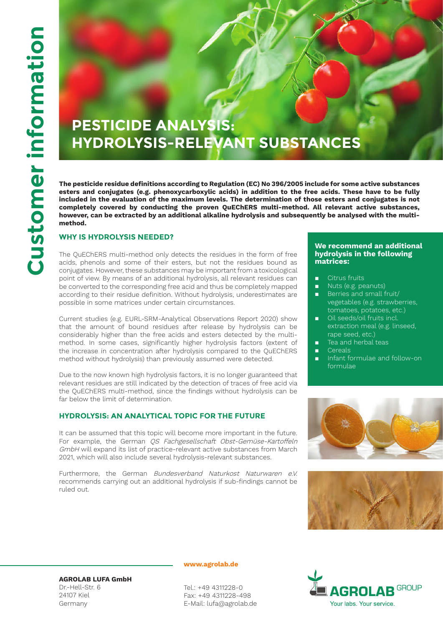# **PESTICIDE ANALYSIS: HYDROLYSIS-RELEVANT SUBSTANCES**

**The pesticide residue definitions according to Regulation (EC) No 396/2005 include for some active substances esters and conjugates (e.g. phenoxycarboxylic acids) in addition to the free acids. These have to be fully included in the evaluation of the maximum levels. The determination of those esters and conjugates is not completely covered by conducting the proven QuEChERS multi-method. All relevant active substances, however, can be extracted by an additional alkaline hydrolysis and subsequently be analysed with the multimethod.**

# **WHY IS HYDROLYSIS NEEDED?**

The QuEChERS multi-method only detects the residues in the form of free acids, phenols and some of their esters, but not the residues bound as conjugates. However, these substances may be important from a toxicological point of view. By means of an additional hydrolysis, all relevant residues can be converted to the corresponding free acid and thus be completely mapped according to their residue definition. Without hydrolysis, underestimates are possible in some matrices under certain circumstances.

Current studies (e.g. EURL-SRM-Analytical Observations Report 2020) show that the amount of bound residues after release by hydrolysis can be considerably higher than the free acids and esters detected by the multimethod. In some cases, significantly higher hydrolysis factors (extent of the increase in concentration after hydrolysis compared to the QuEChERS method without hydrolysis) than previously assumed were detected.

Due to the now known high hydrolysis factors, it is no longer guaranteed that relevant residues are still indicated by the detection of traces of free acid via the QuEChERS multi-method, since the findings without hydrolysis can be far below the limit of determination.

# **HYDROLYSIS: AN ANALYTICAL TOPIC FOR THE FUTURE**

It can be assumed that this topic will become more important in the future. For example, the German *OS Fachgesellschaft Obst-Gemüse-Kartoffeln* GmbH will expand its list of practice-relevant active substances from March 2021, which will also include several hydrolysis-relevant substances.

Furthermore, the German Bundesverband Naturkost Naturwaren e.V. recommends carrying out an additional hydrolysis if sub-findings cannot be ruled out.

#### **We recommend an additional hydrolysis in the following matrices:**

- Citrus fruits
- Nuts (e.g. peanuts)
- Berries and small fruit/ vegetables (e.g. strawberries, tomatoes, potatoes, etc.)
- Oil seeds/oil fruits incl. extraction meal (e.g. linseed, rape seed, etc.)
- Tea and herbal teas
- Cereals
- Infant formulae and follow-on formulae







**AGROLAB LUFA GmbH** Dr.-Hell-Str. 6 24107 Kiel Germany

**www.agrolab.de**

Tel.: +49 4311228-0 Fax: +49 4311228-498 E-Mail: lufa@agrolab.de